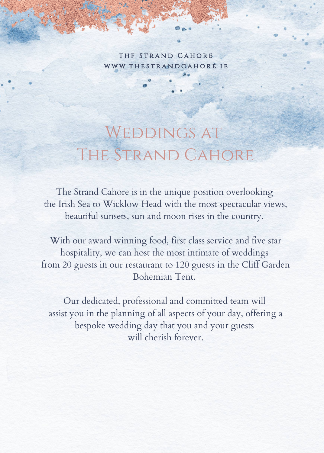THE STRAND CAHORE WWW.THESTRANDCAHORE.IE

# WEDDINGS AT The Strand Cahore

The Strand Cahore is in the unique position overlooking the Irish Sea to Wicklow Head with the most spectacular views, beautiful sunsets, sun and moon rises in the country.

With our award winning food, first class service and five star hospitality, we can host the most intimate of weddings from 20 guests in our restaurant to 120 guests in the Cliff Garden Bohemian Tent.

Our dedicated, professional and committed team will assist you in the planning of all aspects of your day, offering a bespoke wedding day that you and your guests will cherish forever.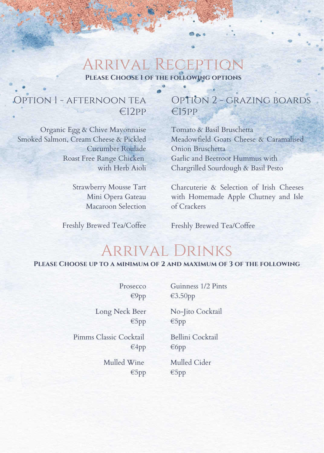### Arrival Reception **Please Choose 1 of the following options**

### Option 1 - afternoon tea €12pp

Organic Egg & Chive Mayonnaise Smoked Salmon, Cream Cheese & Pickled Cucumber Roulade Roast Free Range Chicken with Herb Aioli

> Strawberry Mousse Tart Mini Opera Gateau Macaroon Selection

Freshly Brewed Tea/Coffee

### Option 2 - grazing boards €15pp

Tomato & Basil Bruschetta Meadowfield Goats Cheese & Caramalised Onion Bruschetta Garlic and Beetroot Hummus with Chargrilled Sourdough & Basil Pesto

Charcuterie & Selection of Irish Cheeses with Homemade Apple Chutney and Isle of Crackers

Freshly Brewed Tea/Coffee

### Arrival Drinks

**Please Choose up to a minimum of 2 and maximum of 3 of the following**

**Prosecco** €9pp

Long Neck Beer €5pp

Pimms Classic Cocktail €4pp

> Mulled Wine €5pp

Guinness 1/2 Pints €3.50pp

No-Jito Cocktail €5pp

Bellini Cocktail €6pp

Mulled Cider €5pp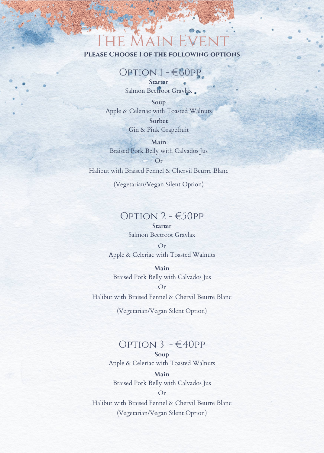## The Main Event

**Please Choose 1 of the following options**

#### Option 1 - €60pp

**Starter** Salmon Beetroot Gravlax.

**Soup** Apple & Celeriac with Toasted Walnuts **Sorbet** Gin & Pink Grapefruit

**Main** Braised Pork Belly with Calvados Jus Or

Halibut with Braised Fennel & Chervil Beurre Blanc

(Vegetarian/Vegan Silent Option)

#### OPTION  $2 - 650$ PP

#### **Starter** Salmon Beetroot Gravlax

Or Apple & Celeriac with Toasted Walnuts

**Main** Braised Pork Belly with Calvados Jus

Or Halibut with Braised Fennel & Chervil Beurre Blanc

(Vegetarian/Vegan Silent Option)

#### OPTION  $3 - \epsilon$ 40PP

**Soup** Apple & Celeriac with Toasted Walnuts

**Main** Braised Pork Belly with Calvados Jus

Halibut with Braised Fennel & Chervil Beurre Blanc (Vegetarian/Vegan Silent Option)

Or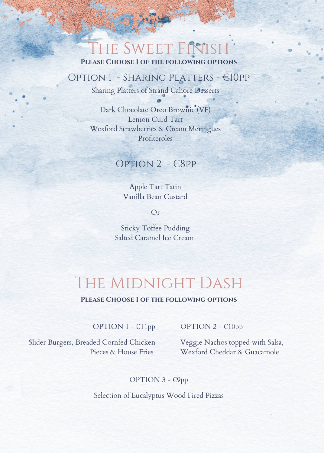## THE SWEET FINISH

**Please Choose 1 of the following options**

#### Option 1 - Sharing Platters - €10pp

Sharing Platters of Strand Cahore Desserts

Dark Chocolate Oreo Brownie (VF) Lemon Curd Tart Wexford Strawberries & Cream Meringues Profiteroles

#### Option 2 - €8pp

Apple Tart Tatin Vanilla Bean Custard

Or

Sticky Toffee Pudding Salted Caramel Ice Cream

## The Midnight Dash

#### **Please Choose 1 of the following options**

OPTION 1 - €11pp

Slider Burgers, Breaded Cornfed Chicken Pieces & House Fries

OPTION 2 - €10pp

Veggie Nachos topped with Salsa, Wexford Cheddar & Guacamole

#### OPTION 3 - €9pp

Selection of Eucalyptus Wood Fired Pizzas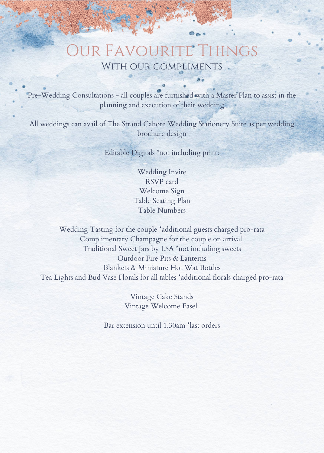### Our Favourite Things WITH OUR COMPLIMENTS

Pre-Wedding Consultations - all couples are furnished with a Master Plan to assist in the planning and execution of their wedding

All weddings can avail of The Strand Cahore Wedding Stationery Suite as per wedding brochure design

Editable Digitals \*not including print:

Wedding Invite RSVP card Welcome Sign Table Seating Plan Table Numbers

Wedding Tasting for the couple \*additional guests charged pro-rata Complimentary Champagne for the couple on arrival Traditional Sweet Jars by LSA \*not including sweets Outdoor Fire Pits & Lanterns Blankets & Miniature Hot Wat Bottles Tea Lights and Bud Vase Florals for all tables \*additional florals charged pro-rata

> Vintage Cake Stands Vintage Welcome Easel

Bar extension until 1.30am \*last orders